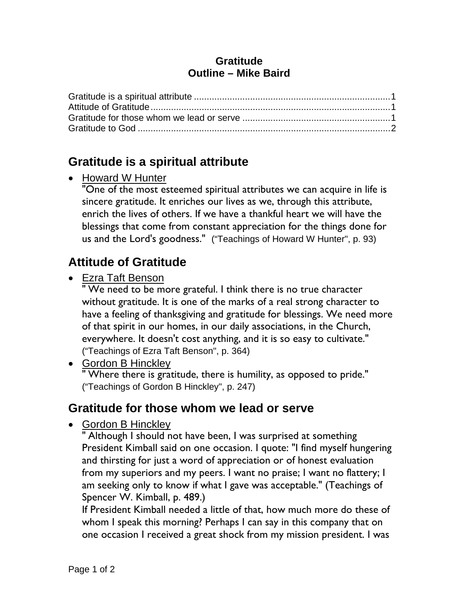#### **Gratitude Outline – Mike Baird**

## **Gratitude is a spiritual attribute**

• Howard W Hunter

"One of the most esteemed spiritual attributes we can acquire in life is sincere gratitude. It enriches our lives as we, through this attribute, enrich the lives of others. If we have a thankful heart we will have the blessings that come from constant appreciation for the things done for us and the Lord's goodness." ("Teachings of Howard W Hunter", p. 93)

# **Attitude of Gratitude**

• Ezra Taft Benson

" We need to be more grateful. I think there is no true character without gratitude. It is one of the marks of a real strong character to have a feeling of thanksgiving and gratitude for blessings. We need more of that spirit in our homes, in our daily associations, in the Church, everywhere. It doesn't cost anything, and it is so easy to cultivate." ("Teachings of Ezra Taft Benson", p. 364)

• Gordon B Hinckley " Where there is gratitude, there is humility, as opposed to pride." ("Teachings of Gordon B Hinckley", p. 247)

### **Gratitude for those whom we lead or serve**

• Gordon B Hinckley

" Although I should not have been, I was surprised at something President Kimball said on one occasion. I quote: "I find myself hungering and thirsting for just a word of appreciation or of honest evaluation from my superiors and my peers. I want no praise; I want no flattery; I am seeking only to know if what I gave was acceptable." (Teachings of Spencer W. Kimball, p. 489.)

If President Kimball needed a little of that, how much more do these of whom I speak this morning? Perhaps I can say in this company that on one occasion I received a great shock from my mission president. I was